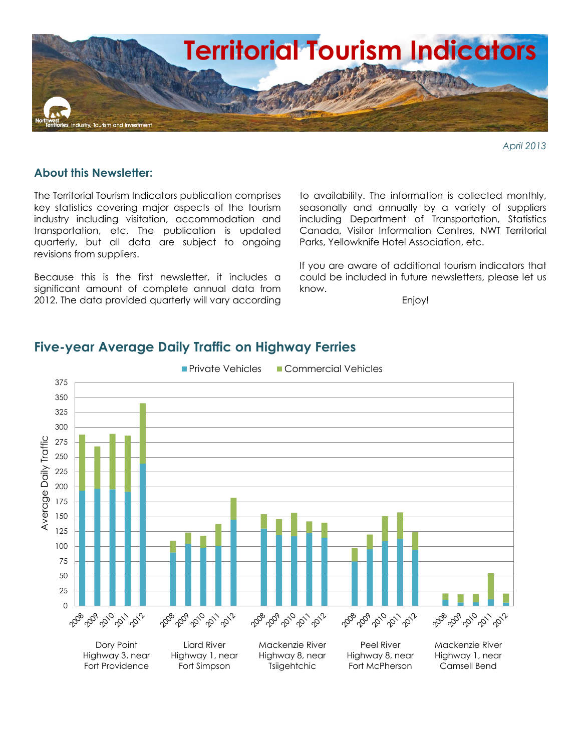

*April 2013*

#### **About this Newsletter:**

The Territorial Tourism Indicators publication comprises key statistics covering major aspects of the tourism industry including visitation, accommodation and transportation, etc. The publication is updated quarterly, but all data are subject to ongoing revisions from suppliers.

Because this is the first newsletter, it includes a significant amount of complete annual data from 2012. The data provided quarterly will vary according

to availability. The information is collected monthly, seasonally and annually by a variety of suppliers including Department of Transportation, Statistics Canada, Visitor Information Centres, NWT Territorial Parks, Yellowknife Hotel Association, etc.

If you are aware of additional tourism indicators that could be included in future newsletters, please let us know.

Enjoy!



### **Five-year Average Daily Traffic on Highway Ferries**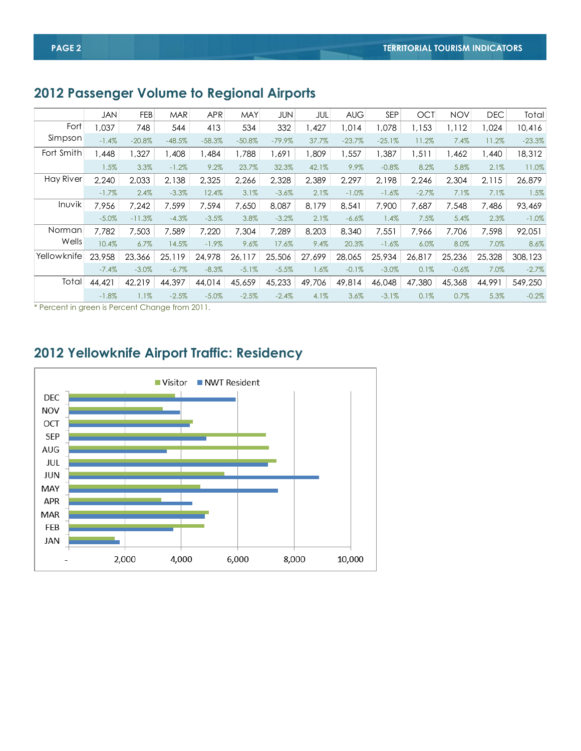# **2012 Passenger Volume to Regional Airports**

|             | <b>JAN</b> | <b>FEB</b> | <b>MAR</b> | <b>APR</b> | <b>MAY</b> | JUN      | JUL     | <b>AUG</b> | <b>SEP</b> | <b>OCT</b> | <b>NOV</b> | <b>DEC</b> | Total    |
|-------------|------------|------------|------------|------------|------------|----------|---------|------------|------------|------------|------------|------------|----------|
| Fort        | 0.037      | 748        | 544        | 413        | 534        | 332      | 1,427   | 1,014      | 1,078      | 1,153      | I, 112     | 1,024      | 10,416   |
| Simpson     | $-1.4%$    | $-20.8%$   | $-48.5%$   | $-58.3%$   | $-50.8%$   | $-79.9%$ | 37.7%   | $-23.7%$   | $-25.1%$   | 11.2%      | 7.4%       | 11.2%      | $-23.3%$ |
| Fort Smith  | .448       | .327       | ,408       | ,484       | 1,788      | 1,691    | ,809    | ,557       | ,387       | 1,511      | ,462       | ,440       | 18,312   |
|             | 1.5%       | 3.3%       | $-1.2%$    | 9.2%       | 23.7%      | 32.3%    | 42.1%   | 9.9%       | $-0.8%$    | 8.2%       | 5.8%       | 2.1%       | 11.0%    |
| Hay River   | 2.240      | 2.033      | 2,138      | 2,325      | 2,266      | 2,328    | 2,389   | 2,297      | 2,198      | 2,246      | 2,304      | 2,115      | 26,879   |
|             | $-1.7%$    | 2.4%       | $-3.3%$    | 12.4%      | 3.1%       | $-3.6%$  | 2.1%    | $-1.0\%$   | $-1.6%$    | $-2.7%$    | 7.1%       | 7.1%       | 1.5%     |
| Inuvik      | 7,956      | 7,242      | 7,599      | 7,594      | 7,650      | 8,087    | 8,179   | 8,541      | 7,900      | 7,687      | 7,548      | 7,486      | 93,469   |
|             | $-5.0%$    | $-11.3%$   | $-4.3%$    | $-3.5%$    | 3.8%       | $-3.2%$  | 2.1%    | $-6.6%$    | 1.4%       | 7.5%       | 5.4%       | 2.3%       | $-1.0%$  |
| Norman      | 7.782      | 7,503      | 7,589      | 7,220      | 7,304      | 7,289    | 8,203   | 8,340      | 7,551      | 7,966      | 7,706      | 7,598      | 92,051   |
| Wells       | 10.4%      | 6.7%       | 14.5%      | $-1.9\%$   | 9.6%       | 17.6%    | 9.4%    | 20.3%      | $-1.6%$    | 6.0%       | 8.0%       | 7.0%       | 8.6%     |
| Yellowknife | 23,958     | 23,366     | 25,119     | 24,978     | 26,117     | 25,506   | 27,699  | 28,065     | 25,934     | 26,817     | 25,236     | 25,328     | 308,123  |
|             | $-7.4%$    | $-3.0\%$   | $-6.7\%$   | $-8.3%$    | $-5.1%$    | $-5.5%$  | $1.6\%$ | $-0.1%$    | $-3.0\%$   | 0.1%       | $-0.6%$    | 7.0%       | $-2.7%$  |
| Total       | 44,421     | 42,219     | 44,397     | 44,014     | 45,659     | 45,233   | 49,706  | 49,814     | 46,048     | 47,380     | 45,368     | 44,991     | 549,250  |
|             | $-1.8\%$   | 1.1%       | $-2.5%$    | $-5.0%$    | $-2.5%$    | $-2.4%$  | 4.1%    | 3.6%       | $-3.1%$    | 0.1%       | 0.7%       | 5.3%       | $-0.2%$  |

\* Percent in green is Percent Change from 2011.

## **2012 Yellowknife Airport Traffic: Residency**

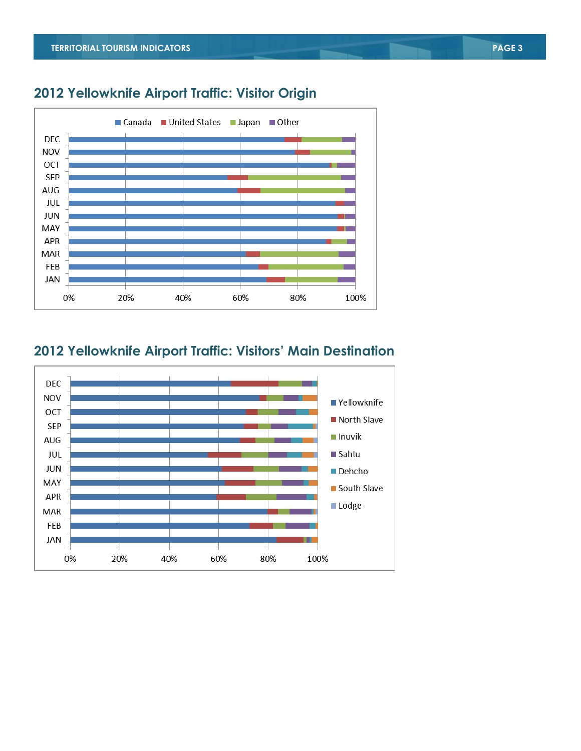

## **2012 Yellowknife Airport Traffic: Visitor Origin**

## **2012 Yellowknife Airport Traffic: Visitors' Main Destination**

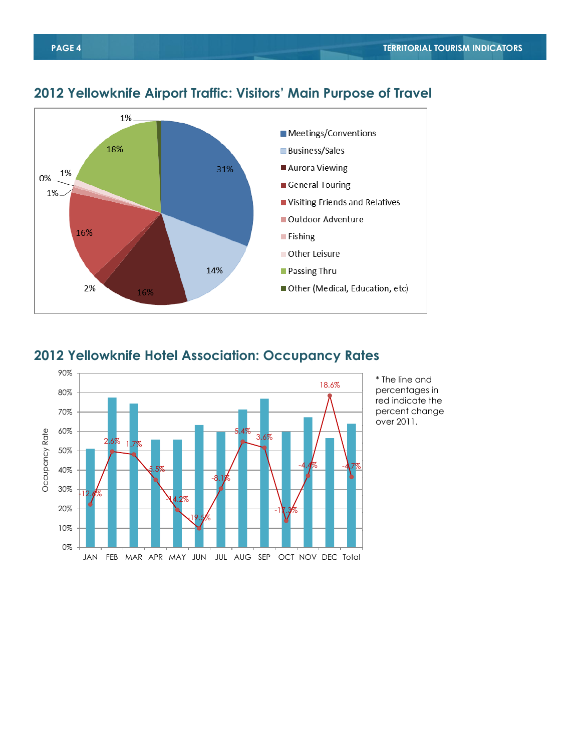

#### **2012 Yellowknife Airport Traffic: Visitors' Main Purpose of Travel**

#### **2012 Yellowknife Hotel Association: Occupancy Rates**

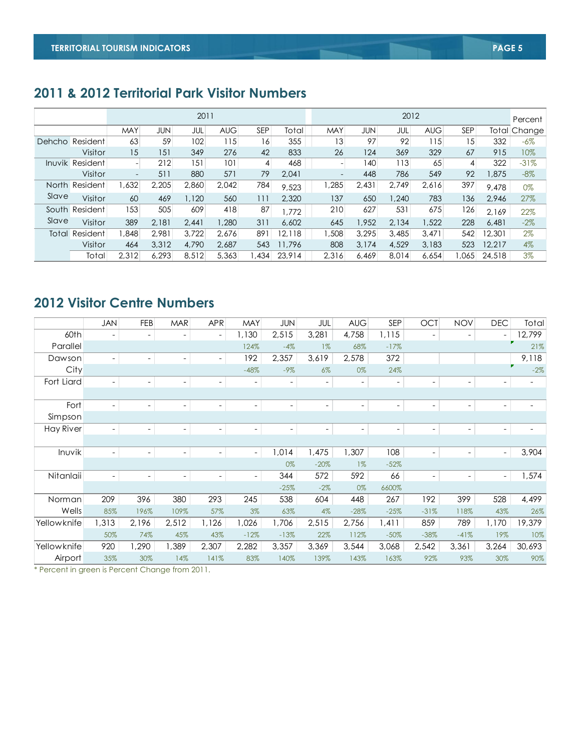## **2011 & 2012 Territorial Park Visitor Numbers**

|                 |                       |                          |            | 2011  |            |                 |        | 2012            |            |       |            |            |        | Percent      |
|-----------------|-----------------------|--------------------------|------------|-------|------------|-----------------|--------|-----------------|------------|-------|------------|------------|--------|--------------|
|                 |                       | <b>MAY</b>               | <b>JUN</b> | JUL   | <b>AUG</b> | SEP             | Total  | <b>MAY</b>      | <b>JUN</b> | JUL   | <b>AUG</b> | <b>SEP</b> |        | Total Change |
| Dehcho Resident |                       | 63                       | 59         | 102   | 115        | 16 <sub>1</sub> | 355    | 13 <sup>1</sup> | 97         | 92    | 115        | 15         | 332    | $-6\%$       |
|                 | Visitor               | 15                       | 151        | 349   | 276        | 42              | 833    | 26              | 124        | 369   | 329        | 67         | 915    | 10%          |
|                 | Inuvik Resident       |                          | 212        | 151   | 101        | 4               | 468    |                 | 140        | 113   | 65         | 4          | 322    | $-31%$       |
|                 | Visitor               | $\overline{\phantom{a}}$ | 511        | 880   | 571        | 79              | 2.041  | -               | 448        | 786   | 549        | 92         | .875   | $-8%$        |
|                 | North Resident        | ,632                     | 2,205      | 2,860 | 2.042      | 784             | 9,523  | ,285            | 2,431      | 2,749 | 2,616      | 397        | 9,478  | 0%           |
| Slave           | Visitor               | 60                       | 469        | 1,120 | 560        | 11              | 2.320  | 137             | 650        | 1,240 | 783        | 136        | 2.946  | 27%          |
|                 | South Resident        | 153                      | 505        | 609   | 418        | 87              | .772   | 210             | 627        | 531   | 675        | 126        | 2.169  | 22%          |
| Slave           | Visitor               | 389                      | 2.181      | 2.441 | 1.280      | 311             | 6.602  | 645             | .952       | 2.134 | 1,522      | 228        | 6.481  | $-2\%$       |
|                 | <b>Total Resident</b> | ,848                     | 2,981      | 3,722 | 2,676      | 891             | 12,118 | ,508            | 3,295      | 3,485 | 3,471      | 542        | 12,301 | $2\%$        |
|                 | Visitor               | 464                      | 3,312      | 4,790 | 2.687      | 543             | 11,796 | 808             | 3.174      | 4,529 | 3,183      | 523        | 12.217 | $4\%$        |
|                 | Total                 | 2.312                    | 6.293      | 8.512 | 5.363      | 1,434           | 23.914 | 2.316           | 6.469      | 8.014 | 6.654      | .065       | 24,518 | 3%           |

## **2012 Visitor Centre Numbers**

|             | <b>JAN</b> | FEB                      | <b>MAR</b>               | <b>APR</b>               | MAY                      | <b>JUN</b>               | JUL                      | <b>AUG</b>               | <b>SEP</b>               | <b>OCT</b>               | <b>NOV</b>               | <b>DEC</b>               | Total             |
|-------------|------------|--------------------------|--------------------------|--------------------------|--------------------------|--------------------------|--------------------------|--------------------------|--------------------------|--------------------------|--------------------------|--------------------------|-------------------|
| 60th        |            | ٠                        | $\overline{\phantom{a}}$ | $\blacksquare$           | 1,130                    | 2,515                    | 3,281                    | 4,758                    | 1,115                    | $\overline{\phantom{a}}$ | $\overline{\phantom{a}}$ | $\overline{\phantom{a}}$ | 12,799            |
| Parallel    |            |                          |                          |                          | 124%                     | $-4%$                    | $1\%$                    | 68%                      | $-17%$                   |                          |                          |                          | 21%               |
| Dawson      |            | $\overline{\phantom{0}}$ | $\overline{\phantom{a}}$ | $\overline{\phantom{a}}$ | 192                      | 2,357                    | 3,619                    | 2,578                    | 372                      |                          |                          |                          | 9,118             |
| City        |            |                          |                          |                          | $-48%$                   | $-9\%$                   | $6\%$                    | 0%                       | 24%                      |                          |                          |                          | $-2%$             |
| Fort Liard  |            | $\overline{\phantom{0}}$ | $\overline{\phantom{a}}$ | $\overline{\phantom{a}}$ | $\overline{\phantom{a}}$ | $\overline{\phantom{a}}$ | $\overline{\phantom{a}}$ | -                        | $\overline{\phantom{a}}$ | $\overline{\phantom{a}}$ | $\overline{\phantom{a}}$ | ٠                        |                   |
|             |            |                          |                          |                          |                          |                          |                          |                          |                          |                          |                          |                          |                   |
| Fort        |            | ٠                        | $\overline{\phantom{a}}$ | $\overline{\phantom{a}}$ | $\overline{\phantom{a}}$ | $\overline{\phantom{a}}$ | $\overline{\phantom{a}}$ | $\overline{\phantom{a}}$ | $\overline{\phantom{a}}$ | $\overline{\phantom{a}}$ | $\overline{\phantom{a}}$ | $\overline{\phantom{m}}$ | $\qquad \qquad -$ |
| Simpson     |            |                          |                          |                          |                          |                          |                          |                          |                          |                          |                          |                          |                   |
| Hay River   |            | $\overline{\phantom{0}}$ | $\overline{\phantom{a}}$ | $\overline{\phantom{a}}$ | $\frac{1}{2}$            | $\overline{\phantom{a}}$ | $\overline{\phantom{a}}$ | $\overline{\phantom{a}}$ | $\qquad \qquad -$        | $\blacksquare$           | $\overline{\phantom{a}}$ |                          |                   |
|             |            |                          |                          |                          |                          |                          |                          |                          |                          |                          |                          |                          |                   |
| Inuvik      | ٠          | $\overline{\phantom{0}}$ | $\overline{\phantom{a}}$ | $\blacksquare$           | $\blacksquare$           | 1,014                    | 1,475                    | 1,307                    | 108                      | $\blacksquare$           | $\overline{\phantom{a}}$ | $\overline{\phantom{a}}$ | 3,904             |
|             |            |                          |                          |                          |                          | 0%                       | $-20%$                   | $1\%$                    | $-52%$                   |                          |                          |                          |                   |
| Nitanlaii   |            | ٠                        | $\overline{\phantom{a}}$ | $\overline{\phantom{a}}$ | $\frac{1}{2}$            | 344                      | 572                      | 592                      | 66                       | $\sim$                   | ۰                        | $\overline{\phantom{a}}$ | 1,574             |
|             |            |                          |                          |                          |                          | $-25%$                   | $-2%$                    | 0%                       | 6600%                    |                          |                          |                          |                   |
| Norman      | 209        | 396                      | 380                      | 293                      | 245                      | 538                      | 604                      | 448                      | 267                      | 192                      | 399                      | 528                      | 4,499             |
| Wells       | 85%        | 196%                     | 109%                     | 57%                      | 3%                       | 63%                      | 4%                       | $-28%$                   | $-25%$                   | $-31%$                   | 118%                     | 43%                      | 26%               |
| Yellowknife | 1,313      | 2,196                    | 2,512                    | 1,126                    | 1,026                    | 1,706                    | 2,515                    | 2,756                    | 1,411                    | 859                      | 789                      | 1,170                    | 19,379            |
|             | 50%        | 74%                      | 45%                      | 43%                      | $-12%$                   | $-13%$                   | 22%                      | 112%                     | $-50%$                   | $-38%$                   | $-41%$                   | 19%                      | 10%               |
| Yellowknife | 920        | ,290                     | 1,389                    | 2,307                    | 2,282                    | 3,357                    | 3,369                    | 3,544                    | 3,068                    | 2,542                    | 3,361                    | 3,264                    | 30,693            |
| Airport     | 35%        | 30%                      | 14%                      | 141%                     | 83%                      | 140%                     | 139%                     | 143%                     | 163%                     | 92%                      | 93%                      | 30%                      | 90%               |

\* Percent in green is Percent Change from 2011.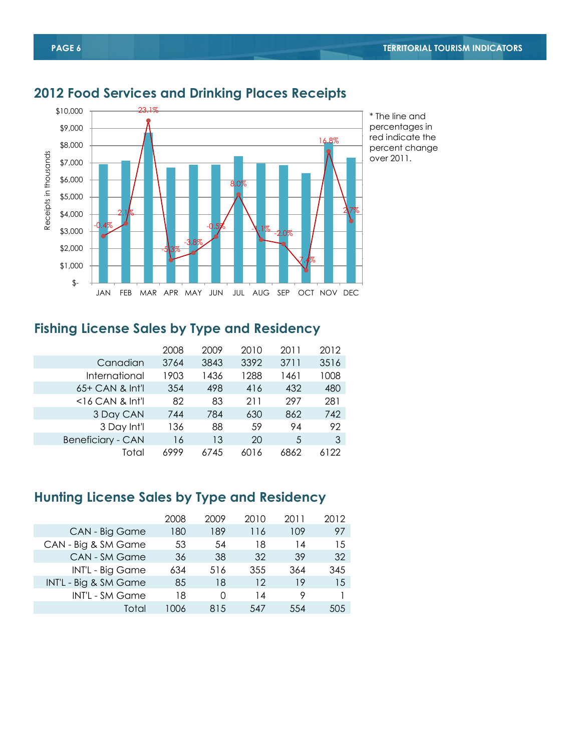

## **2012 Food Services and Drinking Places Receipts**

### **Fishing License Sales by Type and Residency**

|                          | 2008 | 2009 | 2010 | 2011 | 2012 |
|--------------------------|------|------|------|------|------|
| Canadian                 | 3764 | 3843 | 3392 | 3711 | 3516 |
| International            | 1903 | 1436 | 1288 | 1461 | 1008 |
| 65+ CAN & Int'l          | 354  | 498  | 416  | 432  | 480  |
| $<$ 16 CAN & Int'l       | 82   | 83   | 211  | 297  | 281  |
| 3 Day CAN                | 744  | 784  | 630  | 862  | 742  |
| 3 Day Int'l              | 136  | 88   | 59   | 94   | 92   |
| <b>Beneficiary - CAN</b> | 16   | 13   | 20   | 5    | 3    |
| Total                    | 6999 | 6745 | 6016 | 6862 | 122  |

## **Hunting License Sales by Type and Residency**

|                       | 2008  | 2009 | 2010 | 2011 | 2012 |
|-----------------------|-------|------|------|------|------|
| CAN - Big Game        | 180   | 189  | 116  | 109  | 97   |
| CAN - Big & SM Game   | 53    | 54   | 18   | 14   | 15   |
| CAN - SM Game         | 36    | 38   | 32   | 39   | 32   |
| INT'L - Big Game      | 634   | 516  | 355  | 364  | 345  |
| INT'L - Big & SM Game | 85    | 18   | 12   | 19   | 15   |
| INT'L - SM Game       | 18    | Ω    | 14   | 9    |      |
| Total                 | LOO 6 | 815  | 547  | 554  | 505  |
|                       |       |      |      |      |      |